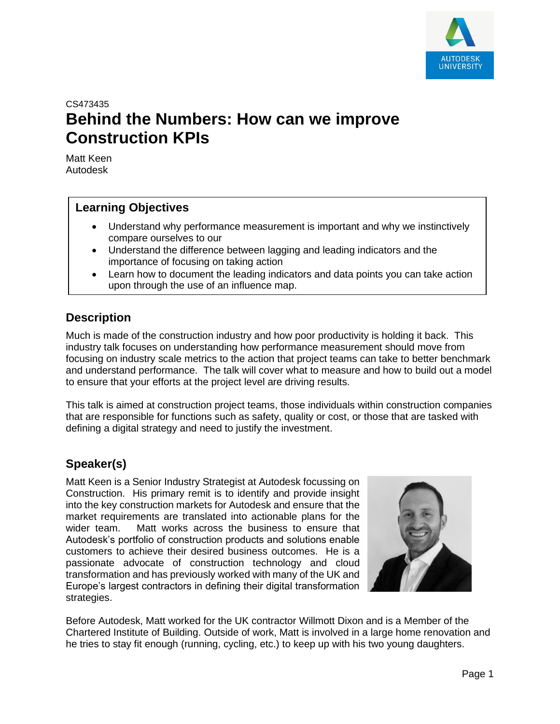

# CS473435 **Behind the Numbers: How can we improve Construction KPIs**

Matt Keen Autodesk

### **Learning Objectives**

- Understand why performance measurement is important and why we instinctively compare ourselves to our
- Understand the difference between lagging and leading indicators and the importance of focusing on taking action
- Learn how to document the leading indicators and data points you can take action upon through the use of an influence map.

# **Description**

Much is made of the construction industry and how poor productivity is holding it back. This industry talk focuses on understanding how performance measurement should move from focusing on industry scale metrics to the action that project teams can take to better benchmark and understand performance. The talk will cover what to measure and how to build out a model to ensure that your efforts at the project level are driving results.

This talk is aimed at construction project teams, those individuals within construction companies that are responsible for functions such as safety, quality or cost, or those that are tasked with defining a digital strategy and need to justify the investment.

# **Speaker(s)**

Matt Keen is a Senior Industry Strategist at Autodesk focussing on Construction. His primary remit is to identify and provide insight into the key construction markets for Autodesk and ensure that the market requirements are translated into actionable plans for the wider team. Matt works across the business to ensure that Autodesk's portfolio of construction products and solutions enable customers to achieve their desired business outcomes. He is a passionate advocate of construction technology and cloud transformation and has previously worked with many of the UK and Europe's largest contractors in defining their digital transformation strategies.



Before Autodesk, Matt worked for the UK contractor Willmott Dixon and is a Member of the Chartered Institute of Building. Outside of work, Matt is involved in a large home renovation and he tries to stay fit enough (running, cycling, etc.) to keep up with his two young daughters.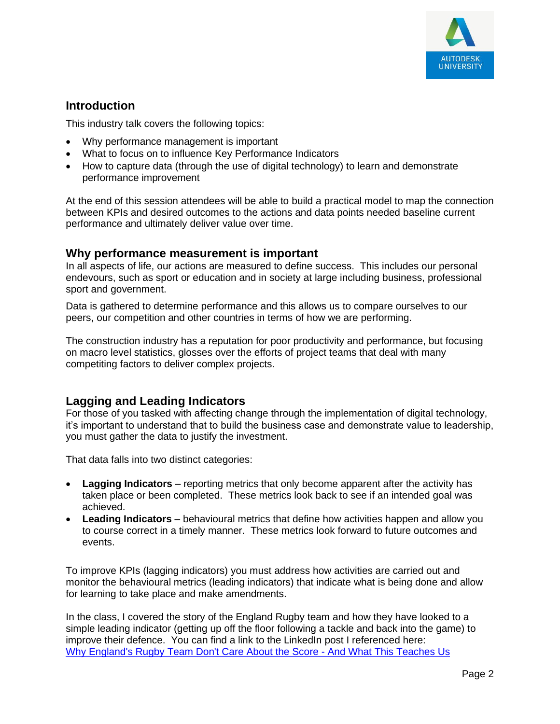

## **Introduction**

This industry talk covers the following topics:

- Why performance management is important
- What to focus on to influence Key Performance Indicators
- How to capture data (through the use of digital technology) to learn and demonstrate performance improvement

At the end of this session attendees will be able to build a practical model to map the connection between KPIs and desired outcomes to the actions and data points needed baseline current performance and ultimately deliver value over time.

#### **Why performance measurement is important**

In all aspects of life, our actions are measured to define success. This includes our personal endevours, such as sport or education and in society at large including business, professional sport and government.

Data is gathered to determine performance and this allows us to compare ourselves to our peers, our competition and other countries in terms of how we are performing.

The construction industry has a reputation for poor productivity and performance, but focusing on macro level statistics, glosses over the efforts of project teams that deal with many competiting factors to deliver complex projects.

### **Lagging and Leading Indicators**

For those of you tasked with affecting change through the implementation of digital technology, it's important to understand that to build the business case and demonstrate value to leadership, you must gather the data to justify the investment.

That data falls into two distinct categories:

- **Lagging Indicators** reporting metrics that only become apparent after the activity has taken place or been completed. These metrics look back to see if an intended goal was achieved.
- **Leading Indicators** behavioural metrics that define how activities happen and allow you to course correct in a timely manner. These metrics look forward to future outcomes and events.

To improve KPIs (lagging indicators) you must address how activities are carried out and monitor the behavioural metrics (leading indicators) that indicate what is being done and allow for learning to take place and make amendments.

In the class, I covered the story of the England Rugby team and how they have looked to a simple leading indicator (getting up off the floor following a tackle and back into the game) to improve their defence. You can find a link to the LinkedIn post I referenced here: [Why England's Rugby Team Don't Care About the Score -](https://www.linkedin.com/pulse/why-englands-rugby-team-dont-care-score-what-us-andrew-fieldhouse/?trackingId=5OpIS99edXYfGwcFhPpRjg%3D%3D) And What This Teaches Us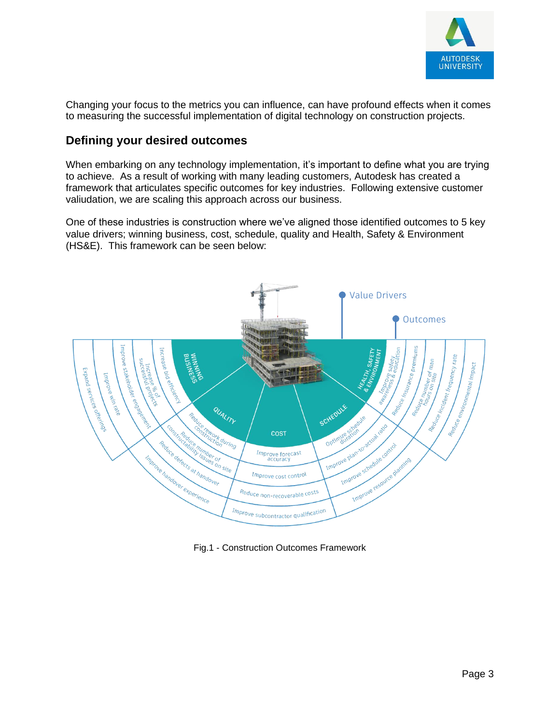

Changing your focus to the metrics you can influence, can have profound effects when it comes to measuring the successful implementation of digital technology on construction projects.

### **Defining your desired outcomes**

When embarking on any technology implementation, it's important to define what you are trying to achieve. As a result of working with many leading customers, Autodesk has created a framework that articulates specific outcomes for key industries. Following extensive customer valiudation, we are scaling this approach across our business.

One of these industries is construction where we've aligned those identified outcomes to 5 key value drivers; winning business, cost, schedule, quality and Health, Safety & Environment (HS&E). This framework can be seen below:



Fig.1 - Construction Outcomes Framework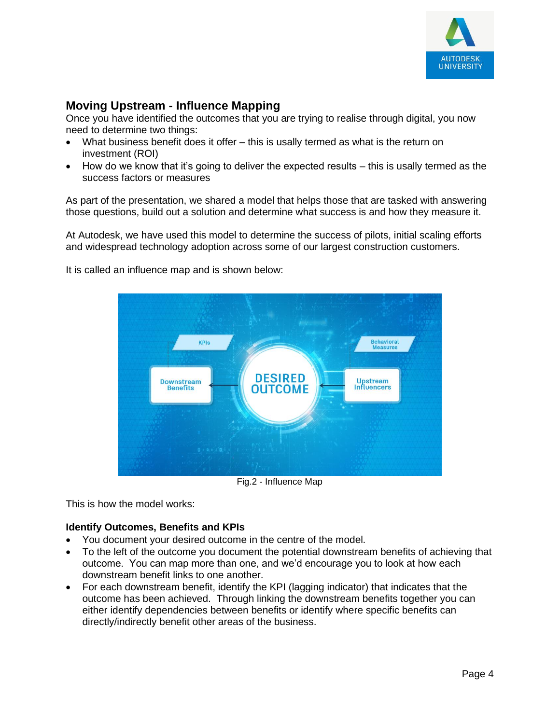

## **Moving Upstream - Influence Mapping**

Once you have identified the outcomes that you are trying to realise through digital, you now need to determine two things:

- What business benefit does it offer this is usally termed as what is the return on investment (ROI)
- How do we know that it's going to deliver the expected results this is usally termed as the success factors or measures

As part of the presentation, we shared a model that helps those that are tasked with answering those questions, build out a solution and determine what success is and how they measure it.

At Autodesk, we have used this model to determine the success of pilots, initial scaling efforts and widespread technology adoption across some of our largest construction customers.



It is called an influence map and is shown below:

Fig.2 - Influence Map

This is how the model works:

#### **Identify Outcomes, Benefits and KPIs**

- You document your desired outcome in the centre of the model.
- To the left of the outcome you document the potential downstream benefits of achieving that outcome. You can map more than one, and we'd encourage you to look at how each downstream benefit links to one another.
- For each downstream benefit, identify the KPI (lagging indicator) that indicates that the outcome has been achieved. Through linking the downstream benefits together you can either identify dependencies between benefits or identify where specific benefits can directly/indirectly benefit other areas of the business.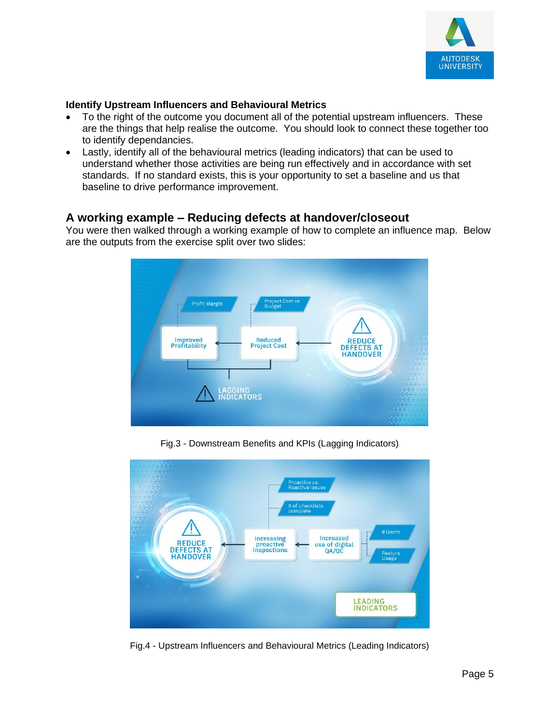

#### **Identify Upstream Influencers and Behavioural Metrics**

- To the right of the outcome you document all of the potential upstream influencers. These are the things that help realise the outcome. You should look to connect these together too to identify dependancies.
- Lastly, identify all of the behavioural metrics (leading indicators) that can be used to understand whether those activities are being run effectively and in accordance with set standards. If no standard exists, this is your opportunity to set a baseline and us that baseline to drive performance improvement.

#### **A working example – Reducing defects at handover/closeout**

You were then walked through a working example of how to complete an influence map. Below are the outputs from the exercise split over two slides:



Fig.3 - Downstream Benefits and KPIs (Lagging Indicators)



Fig.4 - Upstream Influencers and Behavioural Metrics (Leading Indicators)